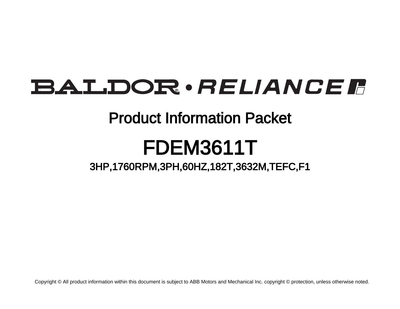# **BALDOR** · RELIANCE F

# Product Information Packet

# FDEM3611T

3HP,1760RPM,3PH,60HZ,182T,3632M,TEFC,F1

Copyright © All product information within this document is subject to ABB Motors and Mechanical Inc. copyright © protection, unless otherwise noted.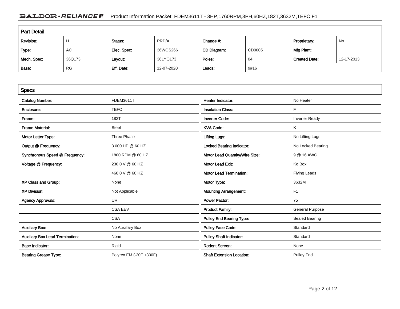# BALDOR · RELIANCE F Product Information Packet: FDEM3611T - 3HP,1760RPM,3PH,60HZ,182T,3632M,TEFC,F1

| <b>Part Detail</b> |           |             |            |             |        |                      |            |  |
|--------------------|-----------|-------------|------------|-------------|--------|----------------------|------------|--|
| Revision:          | Н         | Status:     | PRD/A      | Change #:   |        | Proprietary:         | No         |  |
| Type:              | AC        | Elec. Spec: | 36WGS266   | CD Diagram: | CD0005 | Mfg Plant:           |            |  |
| Mech. Spec:        | 36Q173    | Layout:     | 36LYQ173   | Poles:      | 04     | <b>Created Date:</b> | 12-17-2013 |  |
| Base:              | <b>RG</b> | Eff. Date:  | 12-07-2020 | Leads:      | 9#16   |                      |            |  |

| <b>Specs</b>                           |                         |                                  |                        |
|----------------------------------------|-------------------------|----------------------------------|------------------------|
| <b>Catalog Number:</b>                 | FDEM3611T               | Heater Indicator:                | No Heater              |
| Enclosure:                             | <b>TEFC</b>             | <b>Insulation Class:</b>         | F                      |
| Frame:                                 | 182T                    | <b>Inverter Code:</b>            | <b>Inverter Ready</b>  |
| <b>Frame Material:</b>                 | Steel                   | <b>KVA Code:</b>                 | Κ                      |
| Motor Letter Type:                     | Three Phase             | <b>Lifting Lugs:</b>             | No Lifting Lugs        |
| Output @ Frequency:                    | 3.000 HP @ 60 HZ        | <b>Locked Bearing Indicator:</b> | No Locked Bearing      |
| Synchronous Speed @ Frequency:         | 1800 RPM @ 60 HZ        | Motor Lead Quantity/Wire Size:   | 9 @ 16 AWG             |
| Voltage @ Frequency:                   | 230.0 V @ 60 HZ         | <b>Motor Lead Exit:</b>          | Ko Box                 |
|                                        | 460.0 V @ 60 HZ         | <b>Motor Lead Termination:</b>   | <b>Flying Leads</b>    |
| XP Class and Group:                    | None                    | Motor Type:                      | 3632M                  |
| <b>XP Division:</b>                    | Not Applicable          | <b>Mounting Arrangement:</b>     | F <sub>1</sub>         |
| <b>Agency Approvals:</b>               | <b>UR</b>               | <b>Power Factor:</b>             | 75                     |
|                                        | <b>CSA EEV</b>          | <b>Product Family:</b>           | <b>General Purpose</b> |
|                                        | <b>CSA</b>              | <b>Pulley End Bearing Type:</b>  | Sealed Bearing         |
| <b>Auxillary Box:</b>                  | No Auxillary Box        | <b>Pulley Face Code:</b>         | Standard               |
| <b>Auxillary Box Lead Termination:</b> | None                    | <b>Pulley Shaft Indicator:</b>   | Standard               |
| <b>Base Indicator:</b>                 | Rigid                   | <b>Rodent Screen:</b>            | None                   |
| <b>Bearing Grease Type:</b>            | Polyrex EM (-20F +300F) | <b>Shaft Extension Location:</b> | <b>Pulley End</b>      |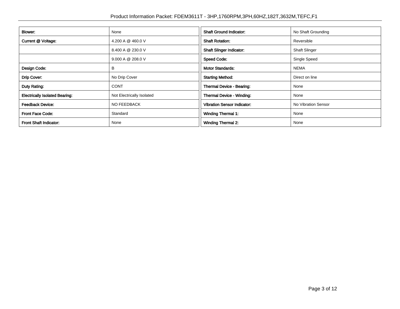| Blower:                               | None                      | <b>Shaft Ground Indicator:</b>     | No Shaft Grounding   |
|---------------------------------------|---------------------------|------------------------------------|----------------------|
| Current @ Voltage:                    | 4.200 A @ 460.0 V         | <b>Shaft Rotation:</b>             | Reversible           |
|                                       | 8.400 A @ 230.0 V         | <b>Shaft Slinger Indicator:</b>    | <b>Shaft Slinger</b> |
|                                       | 9.000 A @ 208.0 V         | <b>Speed Code:</b>                 | Single Speed         |
| Design Code:                          | в                         | <b>Motor Standards:</b>            | <b>NEMA</b>          |
| Drip Cover:                           | No Drip Cover             | <b>Starting Method:</b>            | Direct on line       |
| Duty Rating:                          | <b>CONT</b>               | Thermal Device - Bearing:          | None                 |
| <b>Electrically Isolated Bearing:</b> | Not Electrically Isolated | Thermal Device - Winding:          | None                 |
| <b>Feedback Device:</b>               | NO FEEDBACK               | <b>Vibration Sensor Indicator:</b> | No Vibration Sensor  |
| <b>Front Face Code:</b>               | Standard                  | <b>Winding Thermal 1:</b>          | None                 |
| <b>Front Shaft Indicator:</b>         | None                      | <b>Winding Thermal 2:</b>          | None                 |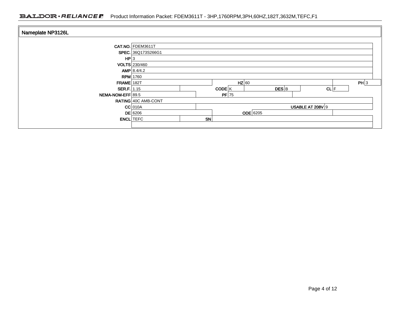## BALDOR · RELIANCE F Product Information Packet: FDEM3611T - 3HP,1760RPM,3PH,60HZ,182T,3632M,TEFC,F1

| Nameplate NP3126L  |                            |    |         |          |       |                  |      |  |
|--------------------|----------------------------|----|---------|----------|-------|------------------|------|--|
|                    | CAT.NO. FDEM3611T          |    |         |          |       |                  |      |  |
|                    | SPEC. 36Q173S266G1         |    |         |          |       |                  |      |  |
| HP 3               |                            |    |         |          |       |                  |      |  |
|                    | VOLTS 230/460              |    |         |          |       |                  |      |  |
|                    | AMP 8.4/4.2                |    |         |          |       |                  |      |  |
|                    | <b>RPM</b> 1760            |    |         |          |       |                  |      |  |
| <b>FRAME 182T</b>  |                            |    | $HZ$ 60 |          |       |                  | PH 3 |  |
| <b>SER.F.</b> 1.15 |                            |    | CODE K  |          | DES B | CL F             |      |  |
| NEMA-NOM-EFF 89.5  |                            |    | $PF$ 75 |          |       |                  |      |  |
|                    | <b>RATING 40C AMB-CONT</b> |    |         |          |       |                  |      |  |
|                    | $CC$ 010A                  |    |         |          |       | USABLE AT 208V 9 |      |  |
|                    | <b>DE</b> 6206             |    |         | ODE 6205 |       |                  |      |  |
| <b>ENCL</b> TEFC   |                            | SN |         |          |       |                  |      |  |
|                    |                            |    |         |          |       |                  |      |  |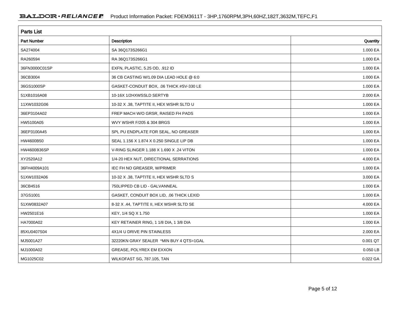| <b>Parts List</b>  |                                          |          |
|--------------------|------------------------------------------|----------|
| <b>Part Number</b> | <b>Description</b>                       | Quantity |
| SA274004           | SA 36Q173S266G1                          | 1.000 EA |
| RA260594           | RA 36Q173S266G1                          | 1.000 EA |
| 36FN3000C01SP      | EXFN, PLASTIC, 5.25 OD, .912 ID          | 1.000 EA |
| 36CB3004           | 36 CB CASTING W/1.09 DIA LEAD HOLE @ 6:0 | 1.000 EA |
| 36GS1000SP         | GASKET-CONDUIT BOX, .06 THICK #SV-330 LE | 1.000 EA |
| 51XB1016A08        | 10-16X 1/2HXWSSLD SERTYB                 | 2.000 EA |
| 11XW1032G06        | 10-32 X .38, TAPTITE II, HEX WSHR SLTD U | 1.000 EA |
| 36EP3104A02        | FREP MACH W/O GRSR, RAISED FH PADS       | 1.000 EA |
| HW5100A05          | WVY WSHR F/205 & 304 BRGS                | 1.000 EA |
| 36EP3100A45        | SPL PU ENDPLATE FOR SEAL, NO GREASER     | 1.000 EA |
| HW4600B50          | SEAL 1.156 X 1.874 X 0.250 SINGLE LIP DB | 1.000 EA |
| HW4600B36SP        | V-RING SLINGER 1.188 X 1.690 X .24 VITON | 1.000 EA |
| XY2520A12          | 1/4-20 HEX NUT, DIRECTIONAL SERRATIONS   | 4.000 EA |
| 36FH4009A101       | IEC FH NO GREASER, W/PRIMER              | 1.000 EA |
| 51XW1032A06        | 10-32 X .38, TAPTITE II, HEX WSHR SLTD S | 3.000 EA |
| 36CB4516           | 750LIPPED CB LID - GALVANNEAL            | 1.000 EA |
| 37GS1001           | GASKET, CONDUIT BOX LID, .06 THICK LEXID | 1.000 EA |
| 51XW0832A07        | 8-32 X .44, TAPTITE II, HEX WSHR SLTD SE | 4.000 EA |
| HW2501E16          | KEY, 1/4 SQ X 1.750                      | 1.000 EA |
| HA7000A02          | KEY RETAINER RING, 1 1/8 DIA, 1 3/8 DIA  | 1.000 EA |
| 85XU0407S04        | 4X1/4 U DRIVE PIN STAINLESS              | 2.000 EA |
| MJ5001A27          | 32220KN GRAY SEALER *MIN BUY 4 QTS=1GAL  | 0.001 QT |
| MJ1000A02          | GREASE, POLYREX EM EXXON                 | 0.050 LB |
| MG1025C02          | WILKOFAST SG, 787.105, TAN               | 0.022 GA |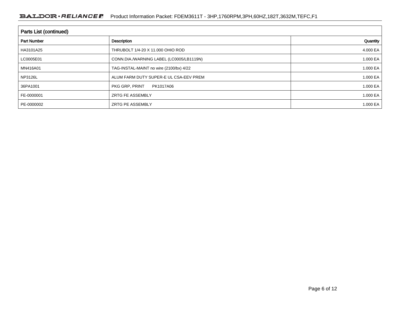| Parts List (continued) |                                          |          |  |  |  |  |
|------------------------|------------------------------------------|----------|--|--|--|--|
| <b>Part Number</b>     | Description                              | Quantity |  |  |  |  |
| HA3101A25              | THRUBOLT 1/4-20 X 11.000 OHIO ROD        | 4.000 EA |  |  |  |  |
| LC0005E01              | CONN.DIA./WARNING LABEL (LC0005/LB1119N) | 1.000 EA |  |  |  |  |
| MN416A01               | TAG-INSTAL-MAINT no wire (2100/bx) 4/22  | 1.000 EA |  |  |  |  |
| NP3126L                | ALUM FARM DUTY SUPER-E UL CSA-EEV PREM   | 1.000 EA |  |  |  |  |
| 36PA1001               | PKG GRP, PRINT<br>PK1017A06              | 1.000 EA |  |  |  |  |
| FE-0000001             | <b>ZRTG FE ASSEMBLY</b>                  | 1.000 EA |  |  |  |  |
| PE-0000002             | <b>ZRTG PE ASSEMBLY</b>                  | 1.000 EA |  |  |  |  |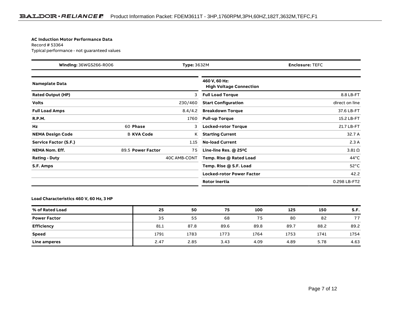#### **AC Induction Motor Performance Data**

Record # 53364Typical performance - not guaranteed values

| Winding: 36WGS266-R006<br><b>Type: 3632M</b> |                   |              | <b>Enclosure: TEFC</b>                          |                |
|----------------------------------------------|-------------------|--------------|-------------------------------------------------|----------------|
| <b>Nameplate Data</b>                        |                   |              | 460 V, 60 Hz:<br><b>High Voltage Connection</b> |                |
| <b>Rated Output (HP)</b>                     |                   | 3            | <b>Full Load Torque</b>                         | 8.8 LB-FT      |
| <b>Volts</b>                                 |                   | 230/460      | <b>Start Configuration</b>                      | direct on line |
| <b>Full Load Amps</b>                        |                   | 8.4/4.2      | <b>Breakdown Torque</b>                         | 37.6 LB-FT     |
| <b>R.P.M.</b>                                |                   | 1760         | <b>Pull-up Torque</b>                           | 15.2 LB-FT     |
| Hz                                           | 60 Phase          | 3            | <b>Locked-rotor Torque</b>                      | 21.7 LB-FT     |
| <b>NEMA Design Code</b>                      | <b>B KVA Code</b> | Κ            | <b>Starting Current</b>                         | 32.7 A         |
| Service Factor (S.F.)                        |                   | 1.15         | <b>No-load Current</b>                          | 2.3A           |
| <b>NEMA Nom. Eff.</b>                        | 89.5 Power Factor | 75           | Line-line Res. $@$ 25 $°C$                      | $3.81\,\Omega$ |
| <b>Rating - Duty</b>                         |                   | 40C AMB-CONT | Temp. Rise @ Rated Load                         | $44^{\circ}$ C |
| S.F. Amps                                    |                   |              | Temp. Rise @ S.F. Load                          | $52^{\circ}$ C |
|                                              |                   |              | <b>Locked-rotor Power Factor</b>                | 42.2           |
|                                              |                   |              | <b>Rotor inertia</b>                            | 0.298 LB-FT2   |

### **Load Characteristics 460 V, 60 Hz, 3 HP**

| % of Rated Load     | 25   | 50   | 75   | 100  | 125  | 150  | S.F. |
|---------------------|------|------|------|------|------|------|------|
| <b>Power Factor</b> | 35   | 55   | 68   | 75   | 80   | 82   | 77   |
| <b>Efficiency</b>   | 81.1 | 87.8 | 89.6 | 89.8 | 89.7 | 88.2 | 89.2 |
| <b>Speed</b>        | 1791 | 1783 | 1773 | 1764 | 1753 | 1741 | 1754 |
| Line amperes        | 2.47 | 2.85 | 3.43 | 4.09 | 4.89 | 5.78 | 4.63 |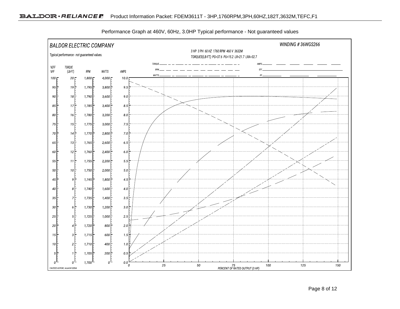

Performance Graph at 460V, 60Hz, 3.0HP Typical performance - Not guaranteed values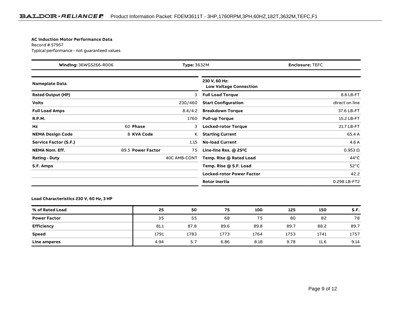#### **AC Induction Motor Performance Data**

Record # 57957Typical performance - not guaranteed values

| Winding: 36WGS266-R006<br><b>Type: 3632M</b> |                   |              | <b>Enclosure: TEFC</b>                         |                |
|----------------------------------------------|-------------------|--------------|------------------------------------------------|----------------|
| <b>Nameplate Data</b>                        |                   |              | 230 V, 60 Hz:<br><b>Low Voltage Connection</b> |                |
| <b>Rated Output (HP)</b>                     |                   | 3            | <b>Full Load Torque</b>                        | 8.8 LB-FT      |
| <b>Volts</b>                                 |                   | 230/460      | <b>Start Configuration</b>                     | direct on line |
| <b>Full Load Amps</b>                        |                   | 8.4/4.2      | <b>Breakdown Torque</b>                        | 37.6 LB-FT     |
| <b>R.P.M.</b>                                |                   | 1760         | <b>Pull-up Torque</b>                          | 15.2 LB-FT     |
| Hz                                           | 60 Phase          | 3            | <b>Locked-rotor Torque</b>                     | 21.7 LB-FT     |
| <b>NEMA Design Code</b>                      | <b>B KVA Code</b> | Κ            | <b>Starting Current</b>                        | 65.4 A         |
| Service Factor (S.F.)                        |                   | 1.15         | <b>No-load Current</b>                         | 4.6 A          |
| <b>NEMA Nom. Eff.</b>                        | 89.5 Power Factor | 75           | Line-line Res. $@$ 25 <sup>o</sup> C           | $0.953 \Omega$ |
| <b>Rating - Duty</b>                         |                   | 40C AMB-CONT | Temp. Rise @ Rated Load                        | $44^{\circ}$ C |
| S.F. Amps                                    |                   |              | Temp. Rise @ S.F. Load                         | $52^{\circ}$ C |
|                                              |                   |              | <b>Locked-rotor Power Factor</b>               | 42.2           |
|                                              |                   |              | <b>Rotor inertia</b>                           | 0.298 LB-FT2   |

### **Load Characteristics 230 V, 60 Hz, 3 HP**

| % of Rated Load     | 25   | 50   | 75   | 100  | 125  | 150  | S.F. |
|---------------------|------|------|------|------|------|------|------|
| <b>Power Factor</b> | 35   | 55   | 68   | 75   | 80   | 82   | 78   |
| <b>Efficiency</b>   | 81.1 | 87.8 | 89.6 | 89.8 | 89.7 | 88.2 | 89.7 |
| <b>Speed</b>        | 1791 | 1783 | 1773 | 1764 | 1753 | 1741 | 1757 |
| Line amperes        | 4.94 | 5.7  | 6.86 | 8.18 | 9.78 | 11.6 | 9.14 |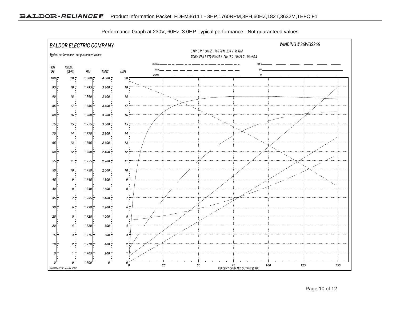

Performance Graph at 230V, 60Hz, 3.0HP Typical performance - Not guaranteed values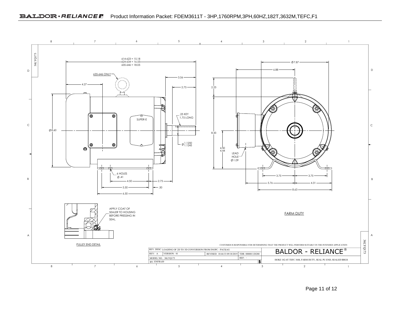